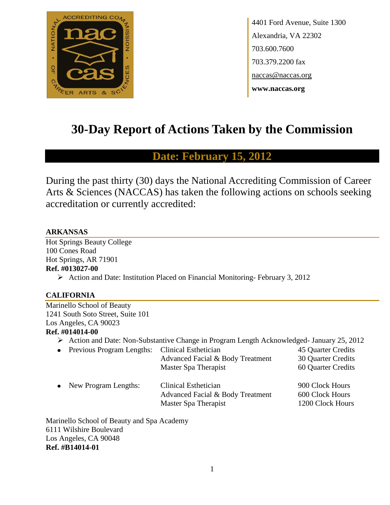

4401 Ford Avenue, Suite 1300 Alexandria, VA 22302 703.600.7600 703.379.2200 fax naccas@naccas.org **www.naccas.org**

# **30-Day Report of Actions Taken by the Commission**

# **Date: February 15, 2012**

During the past thirty (30) days the National Accrediting Commission of Career Arts & Sciences (NACCAS) has taken the following actions on schools seeking accreditation or currently accredited:

# **ARKANSAS**

Hot Springs Beauty College 100 Cones Road Hot Springs, AR 71901 **Ref. #013027-00**

Action and Date: Institution Placed on Financial Monitoring-February 3, 2012

# **CALIFORNIA**

Marinello School of Beauty 1241 South Soto Street, Suite 101 Los Angeles, CA 90023

### **Ref. #014014-00**

- Action and Date: Non-Substantive Change in Program Length Acknowledged- January 25, 2012
- Previous Program Lengths: Clinical Esthetician 45 Quarter Credits Advanced Facial & Body Treatment 30 Quarter Credits Master Spa Therapist 60 Quarter Credits • New Program Lengths: Clinical Esthetician 900 Clock Hours Advanced Facial & Body Treatment 600 Clock Hours Master Spa Therapist 1200 Clock Hours

Marinello School of Beauty and Spa Academy 6111 Wilshire Boulevard Los Angeles, CA 90048 **Ref. #B14014-01**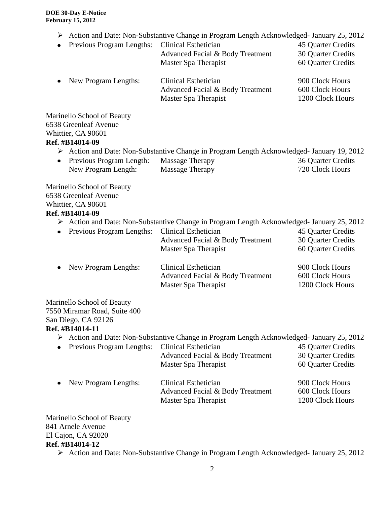- Action and Date: Non-Substantive Change in Program Length Acknowledged- January 25, 2012
- Previous Program Lengths: Clinical Esthetician 45 Quarter Credits Advanced Facial & Body Treatment 30 Quarter Credits Master Spa Therapist 60 Quarter Credits • New Program Lengths: Clinical Esthetician 900 Clock Hours Advanced Facial & Body Treatment 600 Clock Hours Master Spa Therapist 1200 Clock Hours

Marinello School of Beauty 6538 Greenleaf Avenue Whittier, CA 90601 **Ref. #B14014-09**

- Action and Date: Non-Substantive Change in Program Length Acknowledged- January 19, 2012
- Previous Program Length: Massage Therapy 36 Quarter Credits New Program Length: Massage Therapy 720 Clock Hours

Marinello School of Beauty 6538 Greenleaf Avenue Whittier, CA 90601 **Ref. #B14014-09**

Action and Date: Non-Substantive Change in Program Length Acknowledged- January 25, 2012

| • Previous Program Lengths: Clinical Esthetician |                                  | 45 Quarter Credits |
|--------------------------------------------------|----------------------------------|--------------------|
|                                                  | Advanced Facial & Body Treatment | 30 Quarter Credits |
|                                                  | Master Spa Therapist             | 60 Quarter Credits |
|                                                  |                                  |                    |

| New Program Lengths: | Clinical Esthetician             | 900 Clock Hours  |
|----------------------|----------------------------------|------------------|
|                      | Advanced Facial & Body Treatment | 600 Clock Hours  |
|                      | Master Spa Therapist             | 1200 Clock Hours |

Marinello School of Beauty 7550 Miramar Road, Suite 400 San Diego, CA 92126

# **Ref. #B14014-11**

Action and Date: Non-Substantive Change in Program Length Acknowledged- January 25, 2012

| • Previous Program Lengths: | Clinical Esthetician<br>Advanced Facial & Body Treatment<br>Master Spa Therapist | 45 Quarter Credits<br>30 Quarter Credits<br>60 Quarter Credits |
|-----------------------------|----------------------------------------------------------------------------------|----------------------------------------------------------------|
| • New Program Lengths:      | Clinical Esthetician<br>Advanced Facial & Body Treatment<br>Master Spa Therapist | 900 Clock Hours<br>600 Clock Hours<br>1200 Clock Hours         |

Marinello School of Beauty 841 Arnele Avenue El Cajon, CA 92020 **Ref. #B14014-12**

Action and Date: Non-Substantive Change in Program Length Acknowledged- January 25, 2012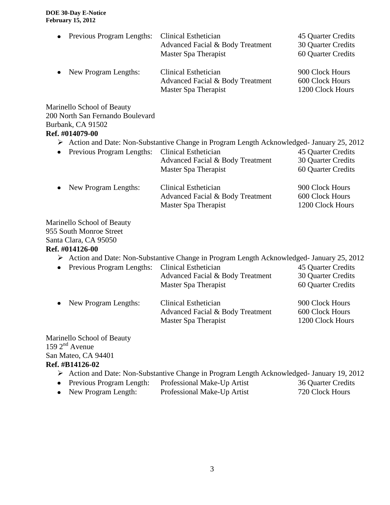| $\bullet$ | Previous Program Lengths: | Clinical Esthetician<br>Advanced Facial & Body Treatment<br>Master Spa Therapist | 45 Quarter Credits<br>30 Quarter Credits<br>60 Quarter Credits |
|-----------|---------------------------|----------------------------------------------------------------------------------|----------------------------------------------------------------|
|           | • New Program Lengths:    | Clinical Esthetician<br>Advanced Facial & Body Treatment<br>Master Spa Therapist | 900 Clock Hours<br>600 Clock Hours<br>1200 Clock Hours         |

Marinello School of Beauty 200 North San Fernando Boulevard Burbank, CA 91502 **Ref. #014079-00**

Action and Date: Non-Substantive Change in Program Length Acknowledged- January 25, 2012

| • Previous Program Lengths: Clinical Esthetician | Advanced Facial & Body Treatment<br>Master Spa Therapist | 45 Quarter Credits<br>30 Quarter Credits<br>60 Quarter Credits |
|--------------------------------------------------|----------------------------------------------------------|----------------------------------------------------------------|
| $\sim$ Now Draggan Langther                      | $C^{1}$ inicel $\Gamma$ ethoticion                       | $000$ $C_{\text{look}}$ $U_{\text{out}}$                       |

• New Program Lengths: Clinical Esthetician 900 Clock Hours Advanced Facial & Body Treatment 600 Clock Hours Master Spa Therapist 1200 Clock Hours

Marinello School of Beauty 955 South Monroe Street Santa Clara, CA 95050

### **Ref. #014126-00**

- Action and Date: Non-Substantive Change in Program Length Acknowledged- January 25, 2012
- Previous Program Lengths: Clinical Esthetician 45 Quarter Credits Advanced Facial & Body Treatment 30 Quarter Credits Master Spa Therapist 60 Quarter Credits • New Program Lengths: Clinical Esthetician 900 Clock Hours Advanced Facial & Body Treatment 600 Clock Hours Master Spa Therapist 1200 Clock Hours

Marinello School of Beauty  $159$   $2<sup>nd</sup>$  Avenue San Mateo, CA 94401 **Ref. #B14126-02**

- Action and Date: Non-Substantive Change in Program Length Acknowledged- January 19, 2012
- Previous Program Length: Professional Make-Up Artist 36 Quarter Credits
- New Program Length: Professional Make-Up Artist 720 Clock Hours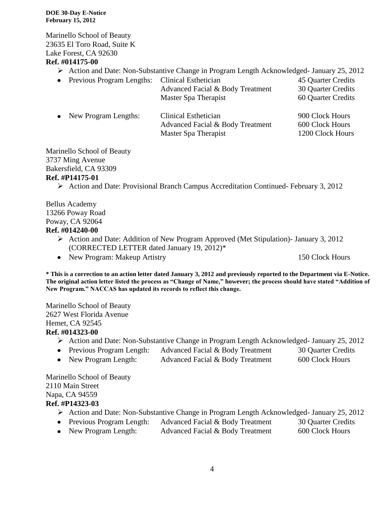Marinello School of Beauty 23635 El Toro Road, Suite K Lake Forest, CA 92630

# **Ref. #014175-00**

- Action and Date: Non-Substantive Change in Program Length Acknowledged- January 25, 2012
- Previous Program Lengths: Clinical Esthetician 45 Quarter Credits Advanced Facial & Body Treatment 30 Quarter Credits Master Spa Therapist 60 Quarter Credits
- New Program Lengths: Clinical Esthetician 900 Clock Hours Advanced Facial & Body Treatment 600 Clock Hours Master Spa Therapist 1200 Clock Hours

Marinello School of Beauty 3737 Ming Avenue Bakersfield, CA 93309

### **Ref. #P14175-01**

Action and Date: Provisional Branch Campus Accreditation Continued- February 3, 2012

Bellus Academy 13266 Poway Road Poway, CA 92064

### **Ref. #014240-00**

- Action and Date: Addition of New Program Approved (Met Stipulation)- January 3, 2012 (CORRECTED LETTER dated January 19, 2012)\*
- New Program: Makeup Artistry 150 Clock Hours

**\* This is a correction to an action letter dated January 3, 2012 and previously reported to the Department via E-Notice. The original action letter listed the process as "Change of Name," however; the process should have stated "Addition of New Program." NACCAS has updated its records to reflect this change.**

Marinello School of Beauty 2627 West Florida Avenue Hemet, CA 92545

### **Ref. #014323-00**

- Action and Date: Non-Substantive Change in Program Length Acknowledged- January 25, 2012
- Previous Program Length: Advanced Facial & Body Treatment 30 Quarter Credits
- New Program Length: Advanced Facial & Body Treatment 600 Clock Hours

Marinello School of Beauty 2110 Main Street Napa, CA 94559 **Ref. #P14323-03**

- Action and Date: Non-Substantive Change in Program Length Acknowledged- January 25, 2012
- Previous Program Length: Advanced Facial & Body Treatment 30 Quarter Credits
- New Program Length: Advanced Facial & Body Treatment 600 Clock Hours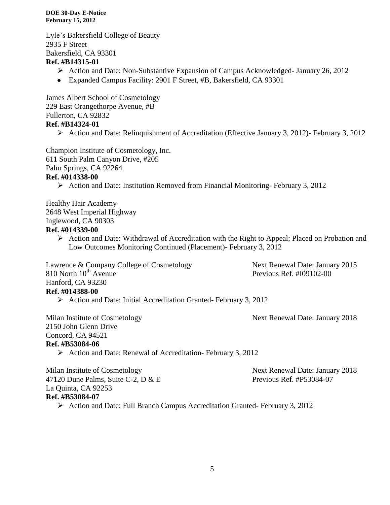Lyle's Bakersfield College of Beauty 2935 F Street Bakersfield, CA 93301

### **Ref. #B14315-01**

- Action and Date: Non-Substantive Expansion of Campus Acknowledged- January 26, 2012
- Expanded Campus Facility: 2901 F Street, #B, Bakersfield, CA 93301

James Albert School of Cosmetology 229 East Orangethorpe Avenue, #B Fullerton, CA 92832 **Ref. #B14324-01**

Action and Date: Relinquishment of Accreditation (Effective January 3, 2012)- February 3, 2012

Champion Institute of Cosmetology, Inc.

611 South Palm Canyon Drive, #205

Palm Springs, CA 92264

# **Ref. #014338-00**

 $\triangleright$  Action and Date: Institution Removed from Financial Monitoring-February 3, 2012

Healthy Hair Academy 2648 West Imperial Highway Inglewood, CA 90303

### **Ref. #014339-00**

 Action and Date: Withdrawal of Accreditation with the Right to Appeal; Placed on Probation and Low Outcomes Monitoring Continued (Placement)- February 3, 2012

Lawrence & Company College of Cosmetology Next Renewal Date: January 2015 810 North 10<sup>th</sup> Avenue Previous Ref. #I09102-00 Hanford, CA 93230

# **Ref. #014388-00**

 $\triangleright$  Action and Date: Initial Accreditation Granted-February 3, 2012

Milan Institute of Cosmetology Next Renewal Date: January 2018

2150 John Glenn Drive Concord, CA 94521

### **Ref. #B53084-06**

 $\triangleright$  Action and Date: Renewal of Accreditation- February 3, 2012

Milan Institute of Cosmetology Next Renewal Date: January 2018 47120 Dune Palms, Suite C-2, D & E Previous Ref. #P53084-07 La Quinta, CA 92253 **Ref. #B53084-07**

Action and Date: Full Branch Campus Accreditation Granted- February 3, 2012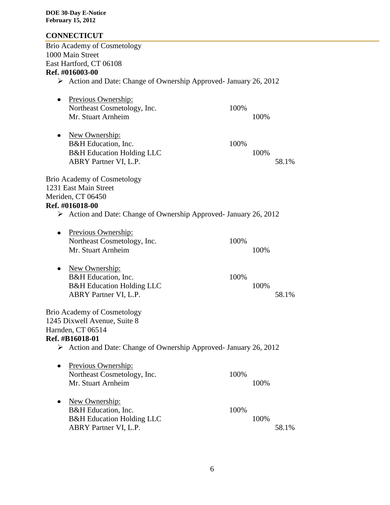# **CONNECTICUT**

| <b>Brio Academy of Cosmetology</b>                                               |       |  |
|----------------------------------------------------------------------------------|-------|--|
| 1000 Main Street                                                                 |       |  |
| East Hartford, CT 06108                                                          |       |  |
| Ref. #016003-00                                                                  |       |  |
| > Action and Date: Change of Ownership Approved- January 26, 2012                |       |  |
| Previous Ownership:<br>$\bullet$                                                 |       |  |
| Northeast Cosmetology, Inc.                                                      | 100%  |  |
| Mr. Stuart Arnheim                                                               | 100%  |  |
|                                                                                  |       |  |
| New Ownership:                                                                   |       |  |
| B&H Education, Inc.                                                              | 100%  |  |
| <b>B&amp;H</b> Education Holding LLC                                             | 100%  |  |
| ABRY Partner VI, L.P.                                                            | 58.1% |  |
| <b>Brio Academy of Cosmetology</b>                                               |       |  |
| 1231 East Main Street                                                            |       |  |
| Meriden, CT 06450                                                                |       |  |
| Ref. #016018-00                                                                  |       |  |
| Action and Date: Change of Ownership Approved- January 26, 2012                  |       |  |
|                                                                                  |       |  |
| Previous Ownership:                                                              |       |  |
| Northeast Cosmetology, Inc.                                                      | 100%  |  |
| Mr. Stuart Arnheim                                                               | 100%  |  |
| New Ownership:                                                                   |       |  |
| B&H Education, Inc.                                                              | 100%  |  |
| <b>B&amp;H Education Holding LLC</b>                                             | 100%  |  |
| ABRY Partner VI, L.P.                                                            | 58.1% |  |
|                                                                                  |       |  |
| <b>Brio Academy of Cosmetology</b>                                               |       |  |
| 1245 Dixwell Avenue, Suite 8                                                     |       |  |
| Harnden, CT 06514                                                                |       |  |
| Ref. #B16018-01                                                                  |       |  |
| $\triangleright$ Action and Date: Change of Ownership Approved- January 26, 2012 |       |  |
| Previous Ownership:                                                              |       |  |
| Northeast Cosmetology, Inc.                                                      | 100%  |  |
| Mr. Stuart Arnheim                                                               | 100%  |  |
|                                                                                  |       |  |
| New Ownership:                                                                   |       |  |
| B&H Education, Inc.                                                              | 100%  |  |
| <b>B&amp;H Education Holding LLC</b>                                             | 100%  |  |
| ABRY Partner VI, L.P.                                                            | 58.1% |  |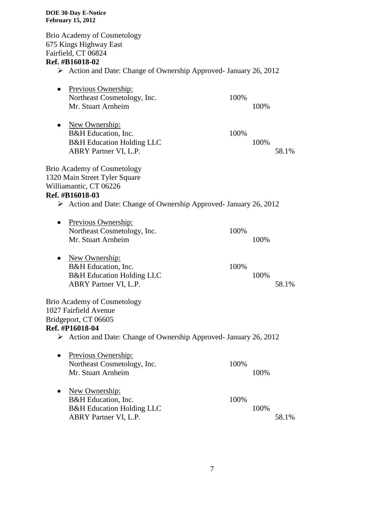Brio Academy of Cosmetology 675 Kings Highway East Fairfield, CT 06824 **Ref. #B16018-02** Action and Date: Change of Ownership Approved- January 26, 2012 • Previous Ownership: Northeast Cosmetology, Inc. 100% Mr. Stuart Arnheim 100% • New Ownership: B&H Education, Inc. 100% B&H Education Holding LLC 100% ABRY Partner VI, L.P. 58.1% Brio Academy of Cosmetology 1320 Main Street Tyler Square Williamantic, CT 06226 **Ref. #B16018-03** Action and Date: Change of Ownership Approved- January 26, 2012 • Previous Ownership: Northeast Cosmetology, Inc. 100% Mr. Stuart Arnheim 100% • New Ownership: B&H Education, Inc. 100% B&H Education Holding LLC 100% ABRY Partner VI, L.P. 58.1% Brio Academy of Cosmetology 1027 Fairfield Avenue Bridgeport, CT 06605 **Ref. #P16018-04** Action and Date: Change of Ownership Approved- January 26, 2012 • Previous Ownership: Northeast Cosmetology, Inc. 100% Mr. Stuart Arnheim 100% • New Ownership: B&H Education, Inc. 100% B&H Education Holding LLC 100% ABRY Partner VI, L.P. 58.1%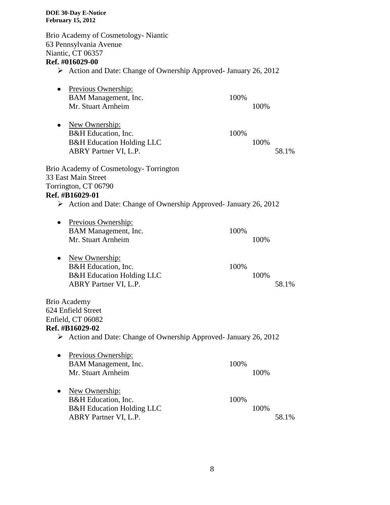Brio Academy of Cosmetology- Niantic 63 Pennsylvania Avenue Niantic, CT 06357 **Ref. #016029-00** Action and Date: Change of Ownership Approved- January 26, 2012 • Previous Ownership: BAM Management, Inc. 100% Mr. Stuart Arnheim 100% • New Ownership: B&H Education, Inc. 100% B&H Education Holding LLC 100% ABRY Partner VI, L.P. 58.1% Brio Academy of Cosmetology- Torrington 33 East Main Street Torrington, CT 06790 **Ref. #B16029-01** Action and Date: Change of Ownership Approved- January 26, 2012 • Previous Ownership: BAM Management, Inc. 100% Mr. Stuart Arnheim 100% • New Ownership: B&H Education, Inc. 100% B&H Education Holding LLC 100% ABRY Partner VI, L.P. 58.1% Brio Academy 624 Enfield Street Enfield, CT 06082 **Ref. #B16029-02** Action and Date: Change of Ownership Approved- January 26, 2012 • Previous Ownership: BAM Management, Inc. 100% Mr. Stuart Arnheim 100% • New Ownership: B&H Education, Inc. 100% B&H Education Holding LLC 100% ABRY Partner VI, L.P. 58.1%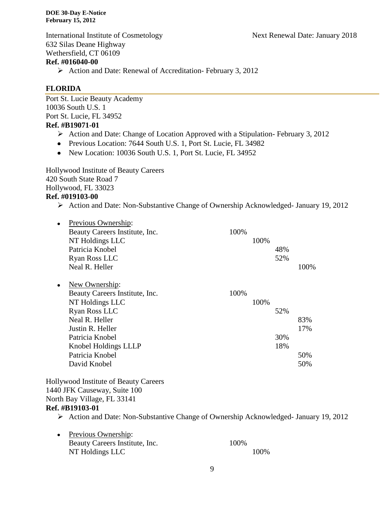International Institute of Cosmetology Next Renewal Date: January 2018 632 Silas Deane Highway Wethersfield, CT 06109

# **Ref. #016040-00**

Action and Date: Renewal of Accreditation- February 3, 2012

# **FLORIDA**

Port St. Lucie Beauty Academy 10036 South U.S. 1 Port St. Lucie, FL 34952 **Ref. #B19071-01**

- $\triangleright$  Action and Date: Change of Location Approved with a Stipulation-February 3, 2012
- Previous Location: 7644 South U.S. 1, Port St. Lucie, FL 34982
- New Location: 10036 South U.S. 1, Port St. Lucie, FL 34952

Hollywood Institute of Beauty Careers 420 South State Road 7 Hollywood, FL 33023 **Ref. #019103-00**

Action and Date: Non-Substantive Change of Ownership Acknowledged- January 19, 2012

|           | Previous Ownership:            |      |      |     |      |
|-----------|--------------------------------|------|------|-----|------|
|           | Beauty Careers Institute, Inc. | 100% |      |     |      |
|           | NT Holdings LLC                |      | 100% |     |      |
|           | Patricia Knobel                |      |      | 48% |      |
|           | Ryan Ross LLC                  |      |      | 52% |      |
|           | Neal R. Heller                 |      |      |     | 100% |
|           |                                |      |      |     |      |
| $\bullet$ | New Ownership:                 |      |      |     |      |
|           | Beauty Careers Institute, Inc. | 100% |      |     |      |
|           | NT Holdings LLC                |      | 100% |     |      |
|           | Ryan Ross LLC                  |      |      | 52% |      |
|           | Neal R. Heller                 |      |      |     | 83%  |
|           | Justin R. Heller               |      |      |     | 17%  |
|           | Patricia Knobel                |      |      | 30% |      |
|           | Knobel Holdings LLLP           |      |      | 18% |      |
|           | Patricia Knobel                |      |      |     | 50%  |
|           | David Knobel                   |      |      |     | 50%  |
|           |                                |      |      |     |      |

Hollywood Institute of Beauty Careers 1440 JFK Causeway, Suite 100 North Bay Village, FL 33141 **Ref. #B19103-01**

Action and Date: Non-Substantive Change of Ownership Acknowledged- January 19, 2012

| • Previous Ownership:          |      |       |
|--------------------------------|------|-------|
| Beauty Careers Institute, Inc. | 100% |       |
| NT Holdings LLC                |      | 100\% |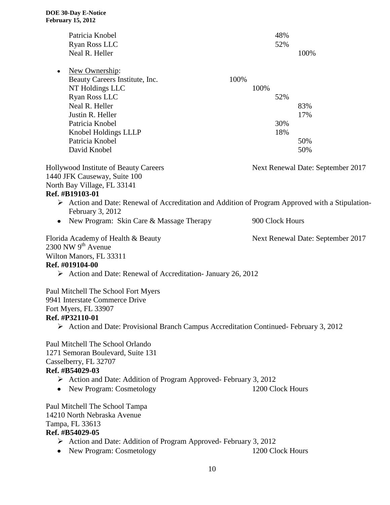| Patricia Knobel                                                                                                                                                                                                          |      |      | 48%              |                                   |
|--------------------------------------------------------------------------------------------------------------------------------------------------------------------------------------------------------------------------|------|------|------------------|-----------------------------------|
| Ryan Ross LLC                                                                                                                                                                                                            |      |      | 52%              |                                   |
| Neal R. Heller                                                                                                                                                                                                           |      |      |                  | 100%                              |
| New Ownership:<br>$\bullet$                                                                                                                                                                                              |      |      |                  |                                   |
| Beauty Careers Institute, Inc.                                                                                                                                                                                           | 100% |      |                  |                                   |
| NT Holdings LLC                                                                                                                                                                                                          |      | 100% |                  |                                   |
| Ryan Ross LLC                                                                                                                                                                                                            |      |      | 52%              |                                   |
| Neal R. Heller                                                                                                                                                                                                           |      |      |                  | 83%                               |
| Justin R. Heller                                                                                                                                                                                                         |      |      |                  | 17%                               |
| Patricia Knobel                                                                                                                                                                                                          |      |      | 30%              |                                   |
| Knobel Holdings LLLP                                                                                                                                                                                                     |      |      | 18%              |                                   |
| Patricia Knobel                                                                                                                                                                                                          |      |      |                  | 50%                               |
| David Knobel                                                                                                                                                                                                             |      |      |                  | 50%                               |
| Hollywood Institute of Beauty Careers                                                                                                                                                                                    |      |      |                  | Next Renewal Date: September 2017 |
| 1440 JFK Causeway, Suite 100                                                                                                                                                                                             |      |      |                  |                                   |
| North Bay Village, FL 33141<br>Ref. #B19103-01                                                                                                                                                                           |      |      |                  |                                   |
| $\triangleright$ Action and Date: Renewal of Accreditation and Addition of Program Approved with a Stipulation-<br>February 3, 2012                                                                                      |      |      |                  |                                   |
| New Program: Skin Care & Massage Therapy<br>$\bullet$                                                                                                                                                                    |      |      | 900 Clock Hours  |                                   |
| Florida Academy of Health & Beauty<br>2300 NW $9th$ Avenue<br>Wilton Manors, FL 33311                                                                                                                                    |      |      |                  | Next Renewal Date: September 2017 |
| Ref. #019104-00<br>Action and Date: Renewal of Accreditation- January 26, 2012                                                                                                                                           |      |      |                  |                                   |
| Paul Mitchell The School Fort Myers<br>9941 Interstate Commerce Drive<br>Fort Myers, FL 33907<br>Ref. #P32110-01<br>$\triangleright$ Action and Date: Provisional Branch Campus Accreditation Continued-February 3, 2012 |      |      |                  |                                   |
| Paul Mitchell The School Orlando<br>1271 Semoran Boulevard, Suite 131<br>Casselberry, FL 32707<br>Ref. #B54029-03                                                                                                        |      |      |                  |                                   |
| $\triangleright$ Action and Date: Addition of Program Approved-February 3, 2012                                                                                                                                          |      |      |                  |                                   |
| • New Program: Cosmetology                                                                                                                                                                                               |      |      | 1200 Clock Hours |                                   |
| Paul Mitchell The School Tampa<br>14210 North Nebraska Avenue<br>Tampa, FL 33613<br>Ref. #B54029-05                                                                                                                      |      |      |                  |                                   |
| $\triangleright$ Action and Date: Addition of Program Approved-February 3, 2012                                                                                                                                          |      |      |                  |                                   |
| New Program: Cosmetology                                                                                                                                                                                                 |      |      | 1200 Clock Hours |                                   |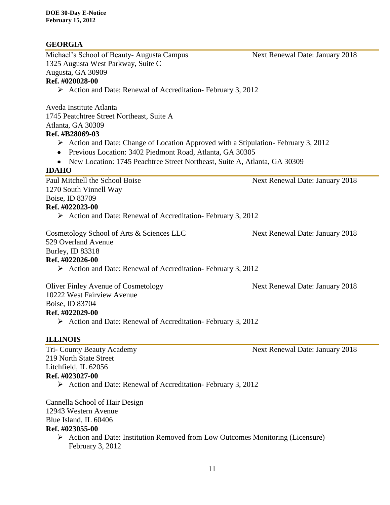# **GEORGIA**

Michael's School of Beauty- Augusta Campus Next Renewal Date: January 2018 1325 Augusta West Parkway, Suite C Augusta, GA 30909 **Ref. #020028-00**

# Action and Date: Renewal of Accreditation- February 3, 2012

Aveda Institute Atlanta 1745 Peatchtree Street Northeast, Suite A Atlanta, GA 30309 **Ref. #B28069-03**

- $\triangleright$  Action and Date: Change of Location Approved with a Stipulation-February 3, 2012
- Previous Location: 3402 Piedmont Road, Atlanta, GA 30305
- New Location: 1745 Peachtree Street Northeast, Suite A, Atlanta, GA 30309

### **IDAHO**

Paul Mitchell the School Boise Next Renewal Date: January 2018 1270 South Vinnell Way Boise, ID 83709 **Ref. #022023-00**

 $\triangleright$  Action and Date: Renewal of Accreditation- February 3, 2012

Cosmetology School of Arts & Sciences LLC Next Renewal Date: January 2018 529 Overland Avenue

Burley, ID 83318

# **Ref. #022026-00**

 $\triangleright$  Action and Date: Renewal of Accreditation- February 3, 2012

Oliver Finley Avenue of Cosmetology Next Renewal Date: January 2018 10222 West Fairview Avenue Boise, ID 83704 **Ref. #022029-00**  $\triangleright$  Action and Date: Renewal of Accreditation- February 3, 2012

### **ILLINOIS**

219 North State Street Litchfield, IL 62056 **Ref. #023027-00**

 $\triangleright$  Action and Date: Renewal of Accreditation- February 3, 2012

Cannella School of Hair Design 12943 Western Avenue Blue Island, IL 60406

### **Ref. #023055-00**

Action and Date: Institution Removed from Low Outcomes Monitoring (Licensure)– February 3, 2012

Tri- County Beauty Academy **Next Renewal Date: January 2018**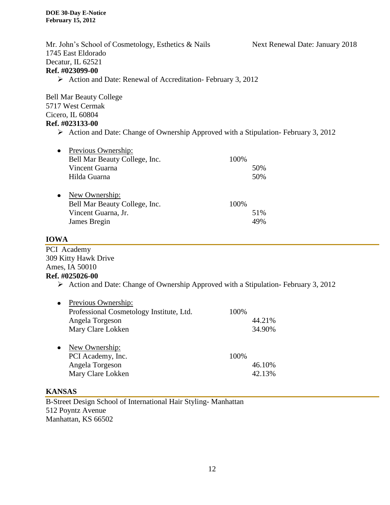Mr. John's School of Cosmetology, Esthetics & Nails Next Renewal Date: January 2018 1745 East Eldorado Decatur, IL 62521 **Ref. #023099-00**  $\triangleright$  Action and Date: Renewal of Accreditation- February 3, 2012 Bell Mar Beauty College 5717 West Cermak Cicero, IL 60804 **Ref. #023133-00**

 $\triangleright$  Action and Date: Change of Ownership Approved with a Stipulation-February 3, 2012

| 100% |
|------|
| 50%  |
| 50%  |
|      |
|      |
| 100% |
| 51%  |
| 49%  |
|      |

# **IOWA**

PCI Academy 309 Kitty Hawk Drive Ames, IA 50010 **Ref. #025026-00**

 $\triangleright$  Action and Date: Change of Ownership Approved with a Stipulation-February 3, 2012

| Previous Ownership:                      |      |        |
|------------------------------------------|------|--------|
| Professional Cosmetology Institute, Ltd. | 100% |        |
| Angela Torgeson                          |      | 44.21% |
| Mary Clare Lokken                        |      | 34.90% |
|                                          |      |        |
| New Ownership:                           |      |        |
| PCI Academy, Inc.                        | 100% |        |
| Angela Torgeson                          |      | 46.10% |
| Mary Clare Lokken                        |      | 42.13% |
|                                          |      |        |

### **KANSAS**

B-Street Design School of International Hair Styling- Manhattan 512 Poyntz Avenue Manhattan, KS 66502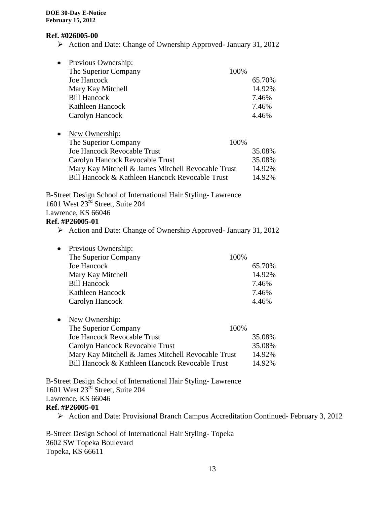### **Ref. #026005-00**

Action and Date: Change of Ownership Approved- January 31, 2012

| $\bullet$ | Previous Ownership:                                |      |        |
|-----------|----------------------------------------------------|------|--------|
|           | The Superior Company                               | 100% |        |
|           | <b>Joe Hancock</b>                                 |      | 65.70% |
|           | Mary Kay Mitchell                                  |      | 14.92% |
|           | <b>Bill Hancock</b>                                |      | 7.46%  |
|           | Kathleen Hancock                                   |      | 7.46%  |
|           | Carolyn Hancock                                    |      | 4.46%  |
|           |                                                    |      |        |
| ٠         | New Ownership:                                     |      |        |
|           | The Superior Company                               | 100% |        |
|           | <b>Joe Hancock Revocable Trust</b>                 |      | 35.08% |
|           | Carolyn Hancock Revocable Trust                    |      | 35.08% |
|           | Mary Kay Mitchell & James Mitchell Revocable Trust |      | 14.92% |
|           | Bill Hancock & Kathleen Hancock Revocable Trust    |      | 14.92% |

B-Street Design School of International Hair Styling- Lawrence 1601 West 23rd Street, Suite 204 Lawrence, KS 66046

# **Ref. #P26005-01**

Action and Date: Change of Ownership Approved- January 31, 2012

| $\bullet$ | Previous Ownership:  |        |
|-----------|----------------------|--------|
|           | The Superior Company | 100%   |
|           | Joe Hancock          | 65.70% |
|           | Mary Kay Mitchell    | 14.92% |
|           | <b>Bill Hancock</b>  | 7.46%  |
|           | Kathleen Hancock     | 7.46%  |
|           | Carolyn Hancock      | 4.46%  |

• New Ownership:

| The Superior Company<br>100\%                                |  |
|--------------------------------------------------------------|--|
| <b>Joe Hancock Revocable Trust</b><br>35.08%                 |  |
| 35.08%<br>Carolyn Hancock Revocable Trust                    |  |
| 14.92%<br>Mary Kay Mitchell & James Mitchell Revocable Trust |  |
| Bill Hancock & Kathleen Hancock Revocable Trust<br>14.92%    |  |

B-Street Design School of International Hair Styling- Lawrence 1601 West 23rd Street, Suite 204 Lawrence, KS 66046 **Ref. #P26005-01**

Action and Date: Provisional Branch Campus Accreditation Continued- February 3, 2012

B-Street Design School of International Hair Styling- Topeka 3602 SW Topeka Boulevard Topeka, KS 66611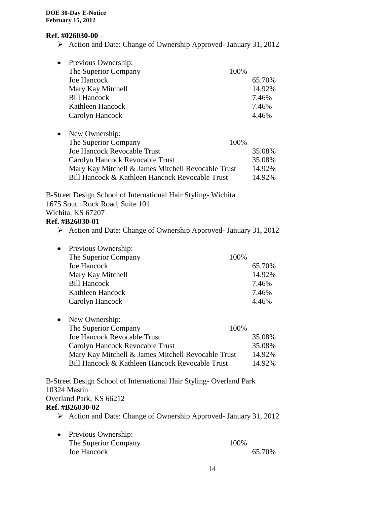### **Ref. #026030-00**

Action and Date: Change of Ownership Approved- January 31, 2012

| Previous Ownership:                                |      |        |
|----------------------------------------------------|------|--------|
| The Superior Company                               | 100% |        |
| Joe Hancock                                        |      | 65.70% |
| Mary Kay Mitchell                                  |      | 14.92% |
| <b>Bill Hancock</b>                                |      | 7.46%  |
| Kathleen Hancock                                   |      | 7.46%  |
| Carolyn Hancock                                    |      | 4.46%  |
| New Ownership:                                     |      |        |
| The Superior Company                               | 100% |        |
| <b>Joe Hancock Revocable Trust</b>                 |      | 35.08% |
| Carolyn Hancock Revocable Trust                    |      | 35.08% |
| Mary Kay Mitchell & James Mitchell Revocable Trust |      | 14.92% |
| Bill Hancock & Kathleen Hancock Revocable Trust    |      | 14.92% |

B-Street Design School of International Hair Styling- Wichita 1675 South Rock Road, Suite 101 Wichita, KS 67207

# **Ref. #B26030-01**

Action and Date: Change of Ownership Approved- January 31, 2012

| $\bullet$ | Previous Ownership:  |        |
|-----------|----------------------|--------|
|           | The Superior Company | 100%   |
|           | Joe Hancock          | 65.70% |
|           | Mary Kay Mitchell    | 14.92% |
|           | <b>Bill Hancock</b>  | 7.46%  |
|           | Kathleen Hancock     | 7.46%  |
|           | Carolyn Hancock      | 4.46%  |

• New Ownership:

| The Superior Company<br>100%                       |        |
|----------------------------------------------------|--------|
| <b>Joe Hancock Revocable Trust</b>                 | 35.08% |
| Carolyn Hancock Revocable Trust                    | 35.08% |
| Mary Kay Mitchell & James Mitchell Revocable Trust | 14.92% |
| Bill Hancock & Kathleen Hancock Revocable Trust    | 14.92% |

B-Street Design School of International Hair Styling- Overland Park 10324 Mastin Overland Park, KS 66212 **Ref. #B26030-02**

Action and Date: Change of Ownership Approved- January 31, 2012

| • Previous Ownership: |        |
|-----------------------|--------|
| The Superior Company  | 100\%  |
| Joe Hancock           | 65.70% |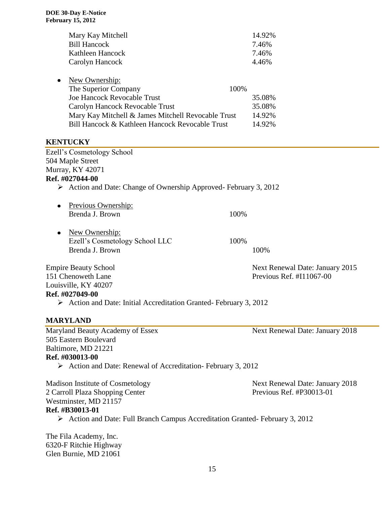| Mary Kay Mitchell<br><b>Bill Hancock</b><br>Kathleen Hancock<br>Carolyn Hancock                                                                                                                                          |      | 14.92%<br>7.46%<br>7.46%<br>4.46%                              |
|--------------------------------------------------------------------------------------------------------------------------------------------------------------------------------------------------------------------------|------|----------------------------------------------------------------|
| New Ownership:<br>The Superior Company<br><b>Joe Hancock Revocable Trust</b><br>Carolyn Hancock Revocable Trust<br>Mary Kay Mitchell & James Mitchell Revocable Trust<br>Bill Hancock & Kathleen Hancock Revocable Trust | 100% | 35.08%<br>35.08%<br>14.92%<br>14.92%                           |
| <b>KENTUCKY</b><br><b>Ezell's Cosmetology School</b><br>504 Maple Street<br>Murray, KY 42071<br>Ref. #027044-00<br>$\triangleright$ Action and Date: Change of Ownership Approved-February 3, 2012                       |      |                                                                |
| Previous Ownership:<br>Brenda J. Brown                                                                                                                                                                                   | 100% |                                                                |
| New Ownership:<br>Ezell's Cosmetology School LLC<br>Brenda J. Brown                                                                                                                                                      | 100% | 100%                                                           |
| <b>Empire Beauty School</b><br>151 Chenoweth Lane<br>Louisville, KY 40207<br>Ref. #027049-00                                                                                                                             |      | Next Renewal Date: January 2015<br>Previous Ref. $\#I11067-00$ |
| $\triangleright$ Action and Date: Initial Accreditation Granted-February 3, 2012<br><b>MARYLAND</b>                                                                                                                      |      |                                                                |
| Maryland Beauty Academy of Essex<br>505 Eastern Boulevard<br>Baltimore, MD 21221<br>Ref. #030013-00                                                                                                                      |      | Next Renewal Date: January 2018                                |
| $\triangleright$ Action and Date: Renewal of Accreditation-February 3, 2012                                                                                                                                              |      |                                                                |
| <b>Madison Institute of Cosmetology</b><br>2 Carroll Plaza Shopping Center<br>Westminster, MD 21157<br>Ref. #B30013-01                                                                                                   |      | Next Renewal Date: January 2018<br>Previous Ref. #P30013-01    |
| $\triangleright$ Action and Date: Full Branch Campus Accreditation Granted-February 3, 2012                                                                                                                              |      |                                                                |
| The Fila Academy, Inc.<br>$6220 \text{ F}$ Ditable II.                                                                                                                                                                   |      |                                                                |

6320-F Ritchie Highway Glen Burnie, MD 21061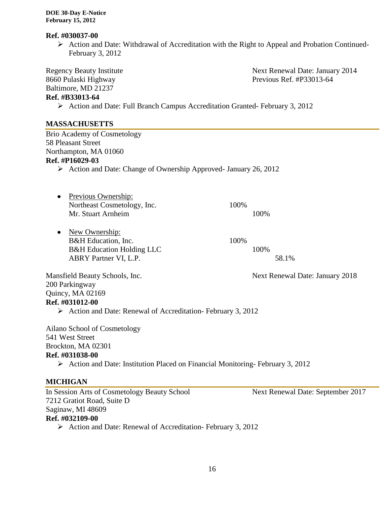### **Ref. #030037-00**

 $\triangleright$  Action and Date: Withdrawal of Accreditation with the Right to Appeal and Probation Continued-February 3, 2012

Baltimore, MD 21237

Regency Beauty Institute **Next Renewal Date: January 2014** 8660 Pulaski Highway Previous Ref. #P33013-64

# **Ref. #B33013-64**

Action and Date: Full Branch Campus Accreditation Granted- February 3, 2012

### **MASSACHUSETTS**

Brio Academy of Cosmetology 58 Pleasant Street Northampton, MA 01060 **Ref. #P16029-03**

- Action and Date: Change of Ownership Approved- January 26, 2012
- Previous Ownership: Northeast Cosmetology, Inc. 100% Mr. Stuart Arnheim 100%
- New Ownership: B&H Education, Inc. 100% B&H Education Holding LLC 100% ABRY Partner VI, L.P. 58.1%

Mansfield Beauty Schools, Inc. Next Renewal Date: January 2018 200 Parkingway Quincy, MA 02169 **Ref. #031012-00**

 $\triangleright$  Action and Date: Renewal of Accreditation- February 3, 2012

Ailano School of Cosmetology 541 West Street Brockton, MA 02301 **Ref. #031038-00**

 $\triangleright$  Action and Date: Institution Placed on Financial Monitoring-February 3, 2012

# **MICHIGAN**

In Session Arts of Cosmetology Beauty School Next Renewal Date: September 2017 7212 Gratiot Road, Suite D Saginaw, MI 48609 **Ref. #032109-00**

 $\triangleright$  Action and Date: Renewal of Accreditation- February 3, 2012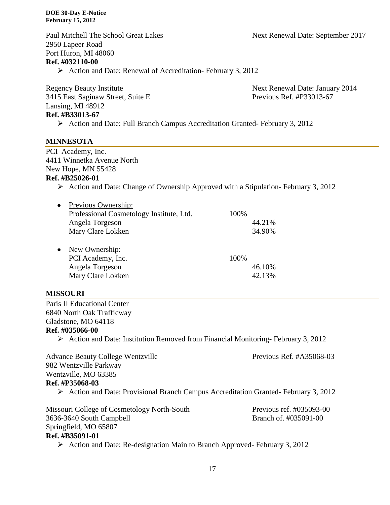Paul Mitchell The School Great Lakes Next Renewal Date: September 2017 2950 Lapeer Road Port Huron, MI 48060 **Ref. #032110-00**  $\triangleright$  Action and Date: Renewal of Accreditation- February 3, 2012

Regency Beauty Institute Next Renewal Date: January 2014 3415 East Saginaw Street, Suite E Previous Ref. #P33013-67 Lansing, MI 48912 **Ref. #B33013-67**

Action and Date: Full Branch Campus Accreditation Granted- February 3, 2012

### **MINNESOTA**

PCI Academy, Inc. 4411 Winnetka Avenue North New Hope, MN 55428

### **Ref. #B25026-01**

 $\triangleright$  Action and Date: Change of Ownership Approved with a Stipulation-February 3, 2012

| Previous Ownership:                      |      |        |
|------------------------------------------|------|--------|
| Professional Cosmetology Institute, Ltd. | 100% |        |
| Angela Torgeson                          |      | 44.21% |
| Mary Clare Lokken                        |      | 34.90% |
|                                          |      |        |
| New Ownership:                           |      |        |
| PCI Academy, Inc.                        | 100% |        |
| Angela Torgeson                          |      | 46.10% |
| Mary Clare Lokken                        |      | 42.13% |
|                                          |      |        |

### **MISSOURI**

Paris II Educational Center 6840 North Oak Trafficway Gladstone, MO 64118

### **Ref. #035066-00**

 $\triangleright$  Action and Date: Institution Removed from Financial Monitoring-February 3, 2012

Advance Beauty College Wentzville Previous Ref. #A35068-03 982 Wentzville Parkway Wentzville, MO 63385 **Ref. #P35068-03** Action and Date: Provisional Branch Campus Accreditation Granted- February 3, 2012 Missouri College of Cosmetology North-South Previous ref. #035093-00 3636-3640 South Campbell Branch of. #035091-00 Springfield, MO 65807 **Ref. #B35091-01**

 $\triangleright$  Action and Date: Re-designation Main to Branch Approved- February 3, 2012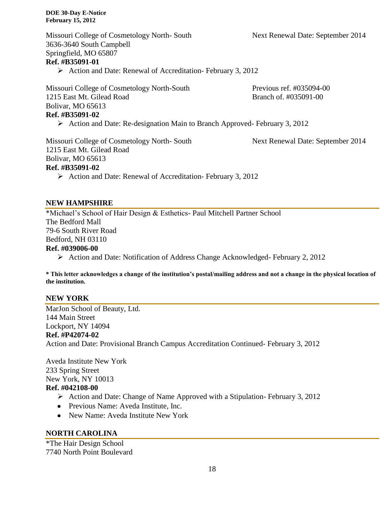Missouri College of Cosmetology North- South Next Renewal Date: September 2014 3636-3640 South Campbell Springfield, MO 65807 **Ref. #B35091-01**

 $\triangleright$  Action and Date: Renewal of Accreditation- February 3, 2012

Missouri College of Cosmetology North-South Previous ref. #035094-00 1215 East Mt. Gilead Road Branch of #035091-00 Bolivar, MO 65613 **Ref. #B35091-02**

 $\triangleright$  Action and Date: Re-designation Main to Branch Approved- February 3, 2012

Missouri College of Cosmetology North- South Next Renewal Date: September 2014 1215 East Mt. Gilead Road Bolivar, MO 65613 **Ref. #B35091-02**

 $\triangleright$  Action and Date: Renewal of Accreditation- February 3, 2012

### **NEW HAMPSHIRE**

\*Michael's School of Hair Design & Esthetics- Paul Mitchell Partner School The Bedford Mall 79-6 South River Road Bedford, NH 03110 **Ref. #039006-00**

Action and Date: Notification of Address Change Acknowledged- February 2, 2012

**\* This letter acknowledges a change of the institution's postal/mailing address and not a change in the physical location of the institution.**

### **NEW YORK**

MarJon School of Beauty, Ltd. 144 Main Street Lockport, NY 14094 **Ref. #P42074-02** Action and Date: Provisional Branch Campus Accreditation Continued- February 3, 2012

Aveda Institute New York 233 Spring Street New York, NY 10013 **Ref. #042108-00**

- $\triangleright$  Action and Date: Change of Name Approved with a Stipulation-February 3, 2012
- Previous Name: Aveda Institute, Inc.
- New Name: Aveda Institute New York

### **NORTH CAROLINA**

\*The Hair Design School 7740 North Point Boulevard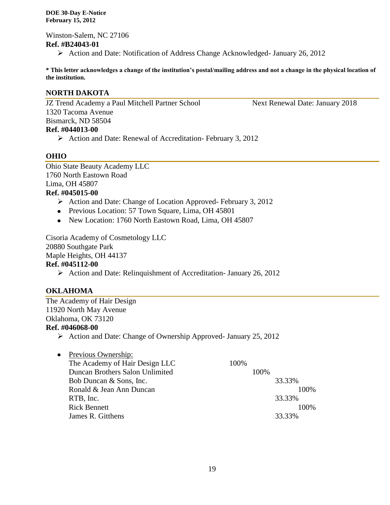Winston-Salem, NC 27106 **Ref. #B24043-01** Action and Date: Notification of Address Change Acknowledged- January 26, 2012

**\* This letter acknowledges a change of the institution's postal/mailing address and not a change in the physical location of the institution.**

### **NORTH DAKOTA**

JZ Trend Academy a Paul Mitchell Partner School Next Renewal Date: January 2018 1320 Tacoma Avenue Bismarck, ND 58504 **Ref. #044013-00**

# $\triangleright$  Action and Date: Renewal of Accreditation- February 3, 2012

### **OHIO**

Ohio State Beauty Academy LLC 1760 North Eastown Road Lima, OH 45807

# **Ref. #045015-00**

- $\triangleright$  Action and Date: Change of Location Approved-February 3, 2012
- Previous Location: 57 Town Square, Lima, OH 45801
- New Location: 1760 North Eastown Road, Lima, OH 45807

Cisoria Academy of Cosmetology LLC 20880 Southgate Park Maple Heights, OH 44137 **Ref. #045112-00**

Action and Date: Relinquishment of Accreditation- January 26, 2012

### **OKLAHOMA**

The Academy of Hair Design 11920 North May Avenue Oklahoma, OK 73120 **Ref. #046068-00**

 $\triangleright$  Action and Date: Change of Ownership Approved- January 25, 2012

| Previous Ownership:             |      |      |        |
|---------------------------------|------|------|--------|
| The Academy of Hair Design LLC  | 100% |      |        |
| Duncan Brothers Salon Unlimited |      | 100% |        |
| Bob Duncan & Sons, Inc.         |      |      | 33.33% |
| Ronald & Jean Ann Duncan        |      |      | 100\%  |
| RTB, Inc.                       |      |      | 33.33% |
| <b>Rick Bennett</b>             |      |      | 100\%  |
| James R. Gitthens               |      |      | 33.33% |
|                                 |      |      |        |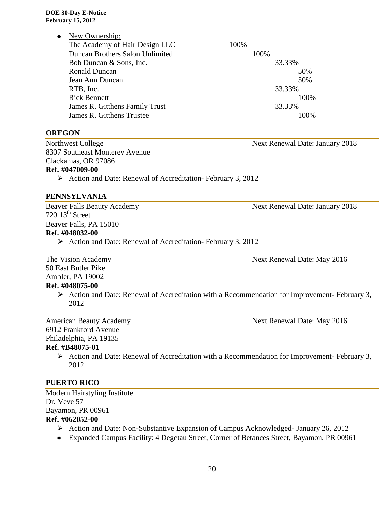• New Ownership:

| The Academy of Hair Design LLC  | 100%   |  |
|---------------------------------|--------|--|
| Duncan Brothers Salon Unlimited | 100%   |  |
| Bob Duncan & Sons, Inc.         | 33.33% |  |
| <b>Ronald Duncan</b>            | 50%    |  |
| Jean Ann Duncan                 | 50%    |  |
| RTB, Inc.                       | 33.33% |  |
| <b>Rick Bennett</b>             | 100%   |  |
| James R. Gitthens Family Trust  | 33.33% |  |
| James R. Gitthens Trustee       | 100\%  |  |

**OREGON**

Northwest College Next Renewal Date: January 2018 8307 Southeast Monterey Avenue Clackamas, OR 97086 **Ref. #047009-00**

Action and Date: Renewal of Accreditation- February 3, 2012

# **PENNSYLVANIA**

Beaver Falls Beauty Academy **Next Renewal Date: January 2018**  $720$   $13^{\text{th}}$  Street Beaver Falls, PA 15010 **Ref. #048032-00**

Action and Date: Renewal of Accreditation- February 3, 2012

50 East Butler Pike

Ambler, PA 19002

# **Ref. #048075-00**

 Action and Date: Renewal of Accreditation with a Recommendation for Improvement- February 3, 2012

6912 Frankford Avenue

Philadelphia, PA 19135

# **Ref. #B48075-01**

 $\triangleright$  Action and Date: Renewal of Accreditation with a Recommendation for Improvement- February 3, 2012

# **PUERTO RICO**

Modern Hairstyling Institute Dr. Veve 57 Bayamon, PR 00961 **Ref. #062052-00**

- Action and Date: Non-Substantive Expansion of Campus Acknowledged- January 26, 2012
- Expanded Campus Facility: 4 Degetau Street, Corner of Betances Street, Bayamon, PR 00961

American Beauty Academy 1986 1997 Next Renewal Date: May 2016

The Vision Academy Next Renewal Date: May 2016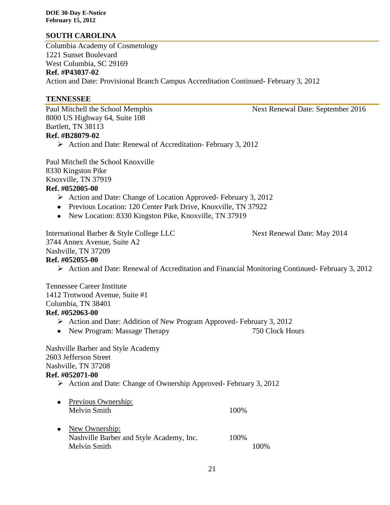# **SOUTH CAROLINA**

Columbia Academy of Cosmetology 1221 Sunset Boulevard West Columbia, SC 29169 **Ref. #P43037-02** Action and Date: Provisional Branch Campus Accreditation Continued- February 3, 2012

### **TENNESSEE**

8000 US Highway 64, Suite 108 Bartlett, TN 38113 **Ref. #B28079-02**

 $\triangleright$  Action and Date: Renewal of Accreditation- February 3, 2012

Paul Mitchell the School Knoxville 8330 Kingston Pike Knoxville, TN 37919 **Ref. #052005-00**

- $\triangleright$  Action and Date: Change of Location Approved-February 3, 2012
- Previous Location: 120 Center Park Drive, Knoxville, TN 37922
- New Location: 8330 Kingston Pike, Knoxville, TN 37919

International Barber & Style College LLC Next Renewal Date: May 2014 3744 Annex Avenue, Suite A2 Nashville, TN 37209 **Ref. #052055-00**

# Action and Date: Renewal of Accreditation and Financial Monitoring Continued- February 3, 2012

Tennessee Career Institute 1412 Trotwood Avenue, Suite #1 Columbia, TN 38401 **Ref. #052063-00**

- Action and Date: Addition of New Program Approved- February 3, 2012
- New Program: Massage Therapy 750 Clock Hours

Nashville Barber and Style Academy 2603 Jefferson Street Nashville, TN 37208 **Ref. #052071-00**

### Action and Date: Change of Ownership Approved- February 3, 2012

• Previous Ownership: Melvin Smith 100% • New Ownership: Nashville Barber and Style Academy, Inc. 100% Melvin Smith 100%

Paul Mitchell the School Memphis Next Renewal Date: September 2016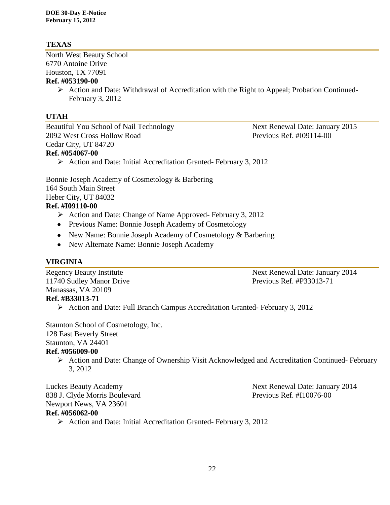# **TEXAS**

North West Beauty School 6770 Antoine Drive Houston, TX 77091 **Ref. #053190-00**

> Action and Date: Withdrawal of Accreditation with the Right to Appeal; Probation Continued-February 3, 2012

# **UTAH**

Beautiful You School of Nail Technology Next Renewal Date: January 2015 2092 West Cross Hollow Road Previous Ref. #I09114-00 Cedar City, UT 84720 **Ref. #054067-00**

Action and Date: Initial Accreditation Granted- February 3, 2012

Bonnie Joseph Academy of Cosmetology & Barbering 164 South Main Street Heber City, UT 84032

# **Ref. #I09110-00**

- Action and Date: Change of Name Approved- February 3, 2012
- Previous Name: Bonnie Joseph Academy of Cosmetology
- New Name: Bonnie Joseph Academy of Cosmetology & Barbering
- New Alternate Name: Bonnie Joseph Academy

### **VIRGINIA**

11740 Sudley Manor Drive Previous Ref. #P33013-71 Manassas, VA 20109

Regency Beauty Institute Regency Beauty Institute Next Renewal Date: January 2014

# **Ref. #B33013-71**

Action and Date: Full Branch Campus Accreditation Granted- February 3, 2012

Staunton School of Cosmetology, Inc. 128 East Beverly Street Staunton, VA 24401

### **Ref. #056009-00**

 Action and Date: Change of Ownership Visit Acknowledged and Accreditation Continued- February 3, 2012

Luckes Beauty Academy Next Renewal Date: January 2014 838 J. Clyde Morris Boulevard Previous Ref. #I10076-00 Newport News, VA 23601

### **Ref. #056062-00**

 $\triangleright$  Action and Date: Initial Accreditation Granted- February 3, 2012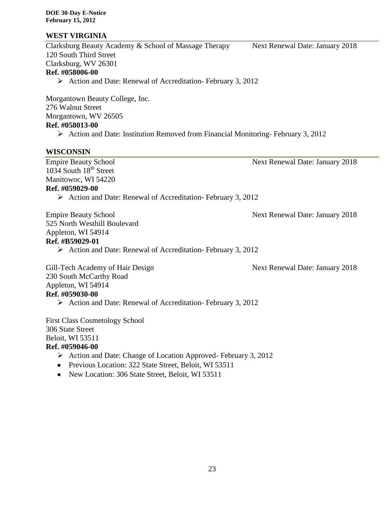# **WEST VIRGINIA**

Clarksburg Beauty Academy & School of Massage Therapy Next Renewal Date: January 2018 120 South Third Street Clarksburg, WV 26301 **Ref. #058006-00**

 $\triangleright$  Action and Date: Renewal of Accreditation- February 3, 2012

Morgantown Beauty College, Inc. 276 Walnut Street Morgantown, WV 26505 **Ref. #058013-00**

 $\triangleright$  Action and Date: Institution Removed from Financial Monitoring-February 3, 2012

# **WISCONSIN**

Empire Beauty School Next Renewal Date: January 2018 1034 South 18<sup>th</sup> Street Manitowoc, WI 54220 **Ref. #059029-00**

 $\triangleright$  Action and Date: Renewal of Accreditation- February 3, 2012

Empire Beauty School **Next Renewal Date: January 2018** 525 North Westhill Boulevard Appleton, WI 54914

### **Ref. #B59029-01**

 $\triangleright$  Action and Date: Renewal of Accreditation- February 3, 2012

Gill-Tech Academy of Hair Design Next Renewal Date: January 2018 230 South McCarthy Road Appleton, WI 54914 **Ref. #059030-00**

 $\triangleright$  Action and Date: Renewal of Accreditation- February 3, 2012

First Class Cosmetology School 306 State Street Beloit, WI 53511

# **Ref. #059046-00**

- $\triangleright$  Action and Date: Change of Location Approved- February 3, 2012
- Previous Location: 322 State Street, Beloit, WI 53511
- New Location: 306 State Street, Beloit, WI 53511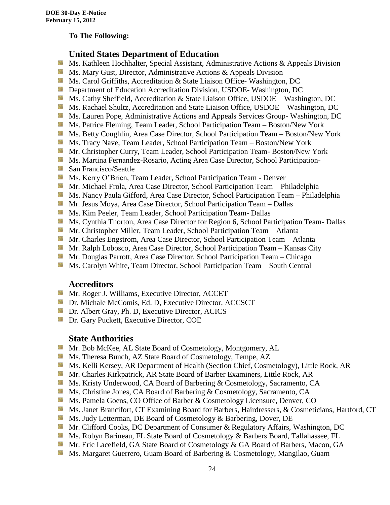### **To The Following:**

# **United States Department of Education**

- 箥 Ms. Kathleen Hochhalter, Special Assistant, Administrative Actions & Appeals Division
- **MS. Mary Gust, Director, Administrative Actions & Appeals Division**
- **Ms.** Carol Griffiths, Accreditation & State Liaison Office-Washington, DC
- **Department of Education Accreditation Division, USDOE- Washington, DC**
- Side. Ms. Cathy Sheffield, Accreditation & State Liaison Office, USDOE – Washington, DC
- **Ms. Rachael Shultz, Accreditation and State Liaison Office, USDOE Washington, DC**
- **Ms. Lauren Pope, Administrative Actions and Appeals Services Group- Washington, DC**
- **MS. Patrice Fleming, Team Leader, School Participation Team Boston/New York**
- Ms. Betty Coughlin, Area Case Director, School Participation Team Boston/New York
- Ms. Tracy Nave, Team Leader, School Participation Team Boston/New York
- **Mr.** Christopher Curry, Team Leader, School Participation Team-Boston/New York
- **Ms. Martina Fernandez-Rosario, Acting Area Case Director, School Participation-**
- **San Francisco/Seattle**
- **MS. Kerry O'Brien, Team Leader, School Participation Team Denver**
- **Mr. Michael Frola, Area Case Director, School Participation Team Philadelphia**
- Ms. Nancy Paula Gifford, Area Case Director, School Participation Team Philadelphia
- **Mr. Jesus Moya, Area Case Director, School Participation Team Dallas**
- **Ms. Kim Peeler, Team Leader, School Participation Team- Dallas**
- **Ms.** Cynthia Thorton, Area Case Director for Region 6, School Participation Team- Dallas
- **Mr.** Christopher Miller, Team Leader, School Participation Team Atlanta
- **Mr.** Charles Engstrom, Area Case Director, School Participation Team Atlanta
- Mr. Ralph Lobosco, Area Case Director, School Participation Team Kansas City
- **Mr.** Douglas Parrott, Area Case Director, School Participation Team Chicago
- Ms. Carolyn White, Team Director, School Participation Team South Central

# **Accreditors**

- **Mr. Roger J. Williams, Executive Director, ACCET**
- **Dr.** Michale McComis, Ed. D. Executive Director, ACCSCT
- **Dr.** Albert Gray, Ph. D, Executive Director, ACICS
- **Dr.** Gary Puckett, Executive Director, COE

# **State Authorities**

- Sila Mr. Bob McKee, AL State Board of Cosmetology, Montgomery, AL
- Ms. Theresa Bunch, AZ State Board of Cosmetology, Tempe, AZ
- **Ms. Kelli Kersey, AR Department of Health (Section Chief, Cosmetology), Little Rock, AR**
- Mr. Charles Kirkpatrick, AR State Board of Barber Examiners, Little Rock, AR
- Ms. Kristy Underwood, CA Board of Barbering & Cosmetology, Sacramento, CA
- Ms. Christine Jones, CA Board of Barbering & Cosmetology, Sacramento, CA
- Ms. Pamela Goens, CO Office of Barber & Cosmetology Licensure, Denver, CO
- Ms. Janet Brancifort, CT Examining Board for Barbers, Hairdressers, & Cosmeticians, Hartford, CT
- **Ms.** Judy Letterman, DE Board of Cosmetology & Barbering, Dover, DE
- **Mr.** Clifford Cooks, DC Department of Consumer & Regulatory Affairs, Washington, DC
- Ms. Robyn Barineau, FL State Board of Cosmetology & Barbers Board, Tallahassee, FL
- Mr. Eric Lacefield, GA State Board of Cosmetology & GA Board of Barbers, Macon, GA
- **Ms. Margaret Guerrero, Guam Board of Barbering & Cosmetology, Mangilao, Guam**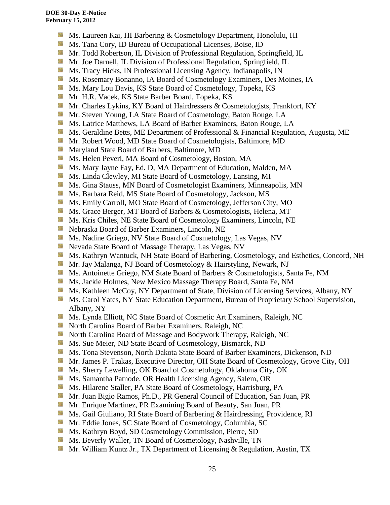- 漆 Ms. Laureen Kai, HI Barbering & Cosmetology Department, Honolulu, HI
- **Ms.** Tana Cory, ID Bureau of Occupational Licenses, Boise, ID
- **Mr.** Todd Robertson, IL Division of Professional Regulation, Springfield, IL
- **Mr. Joe Darnell, IL Division of Professional Regulation, Springfield, IL**
- **Ms.** Tracy Hicks, IN Professional Licensing Agency, Indianapolis, IN
- **Ms. Rosemary Bonanno, IA Board of Cosmetology Examiners, Des Moines, IA**
- 56 Ms. Mary Lou Davis, KS State Board of Cosmetology, Topeka, KS
- Mr. H.R. Vacek, KS State Barber Board, Topeka, KS
- SB. Mr. Charles Lykins, KY Board of Hairdressers & Cosmetologists, Frankfort, KY
- Mr. Steven Young, LA State Board of Cosmetology, Baton Rouge, LA
- **Ms. Latrice Matthews, LA Board of Barber Examiners, Baton Rouge, LA**
- Sila Ms. Geraldine Betts, ME Department of Professional & Financial Regulation, Augusta, ME
- **Mr. Robert Wood, MD State Board of Cosmetologists, Baltimore, MD**
- 39 Maryland State Board of Barbers, Baltimore, MD
- **Ms. Helen Peveri, MA Board of Cosmetology, Boston, MA**
- Ms. Mary Jayne Fay, Ed. D, MA Department of Education, Malden, MA
- Ms. Linda Clewley, MI State Board of Cosmetology, Lansing, MI Sila
- **Ms.** Gina Stauss, MN Board of Cosmetologist Examiners, Minneapolis, MN
- Ms. Barbara Reid, MS State Board of Cosmetology, Jackson, MS
- Sills Ms. Emily Carroll, MO State Board of Cosmetology, Jefferson City, MO
- **Ms.** Grace Berger, MT Board of Barbers & Cosmetologists, Helena, MT
- 58 Ms. Kris Chiles, NE State Board of Cosmetology Examiners, Lincoln, NE
- Nebraska Board of Barber Examiners, Lincoln, NE
- **Ms. Nadine Griego, NV State Board of Cosmetology, Las Vegas, NV**
- Nevada State Board of Massage Therapy, Las Vegas, NV
- Ms. Kathryn Wantuck, NH State Board of Barbering, Cosmetology, and Esthetics, Concord, NH
- **Mr. Jay Malanga, NJ Board of Cosmetology & Hairstyling, Newark, NJ**
- Ms. Antoinette Griego, NM State Board of Barbers & Cosmetologists, Santa Fe, NM
- **Ms. Jackie Holmes, New Mexico Massage Therapy Board, Santa Fe, NM**
- Ms. Kathleen McCoy, NY Department of State, Division of Licensing Services, Albany, NY
- **Ms. Carol Yates, NY State Education Department, Bureau of Proprietary School Supervision,** Albany, NY
- Sila Ms. Lynda Elliott, NC State Board of Cosmetic Art Examiners, Raleigh, NC
- **North Carolina Board of Barber Examiners, Raleigh, NC**
- **North Carolina Board of Massage and Bodywork Therapy, Raleigh, NC**
- **Ms. Sue Meier, ND State Board of Cosmetology, Bismarck, ND**
- **MS.** Tona Stevenson, North Dakota State Board of Barber Examiners, Dickenson, ND
- Mr. James P. Trakas, Executive Director, OH State Board of Cosmetology, Grove City, OH
- Ms. Sherry Lewelling, OK Board of Cosmetology, Oklahoma City, OK
- **Ms. Samantha Patnode, OR Health Licensing Agency, Salem, OR**
- **Ms. Hilarene Staller, PA State Board of Cosmetology, Harrisburg, PA**
- Mr. Juan Bigio Ramos, Ph.D., PR General Council of Education, San Juan, PR
- **Mr.** Enrique Martinez, PR Examining Board of Beauty, San Juan, PR
- **Ms.** Gail Giuliano, RI State Board of Barbering & Hairdressing, Providence, RI
- Mr. Eddie Jones, SC State Board of Cosmetology, Columbia, SC
- **Ms. Kathryn Boyd, SD Cosmetology Commission, Pierre, SD**
- **Ms. Beverly Waller, TN Board of Cosmetology, Nashville, TN**
- **Mr.** William Kuntz Jr., TX Department of Licensing & Regulation, Austin, TX